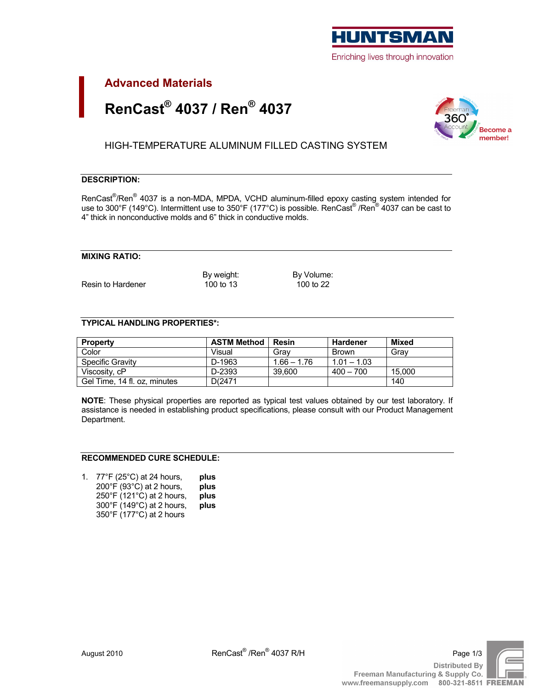

# **Advanced Materials** RenCast® 4037 / Ren® 4037



HIGH-TEMPERATURE ALUMINUM FILLED CASTING SYSTEM

## **DESCRIPTION:**

RenCast<sup>®</sup>/Ren<sup>®</sup> 4037 is a non-MDA, MPDA, VCHD aluminum-filled epoxy casting system intended for use to 300°F (149°C). Intermittent use to 350°F (177°C) is possible. RenCast® /Ren® 4037 can be cast to 4" thick in nonconductive molds and 6" thick in conductive molds.

## **MIXING RATIO:**

Resin to Hardener

By weight: 100 to 13

By Volume: 100 to 22

## **TYPICAL HANDLING PROPERTIES\*:**

| <b>Property</b>              | <b>ASTM Method</b> | Resin         | Hardener      | Mixed  |
|------------------------------|--------------------|---------------|---------------|--------|
| Color                        | Visual             | Grav          | <b>Brown</b>  | Grav   |
| Specific Gravity             | D-1963             | $1.66 - 1.76$ | $1.01 - 1.03$ |        |
| Viscosity, cP                | D-2393             | 39.600        | $400 - 700$   | 15.000 |
| Gel Time, 14 fl. oz, minutes | D(2471             |               |               | 140    |

NOTE: These physical properties are reported as typical test values obtained by our test laboratory. If assistance is needed in establishing product specifications, please consult with our Product Management Department.

#### **RECOMMENDED CURE SCHEDULE:**

1. 77°F (25°C) at 24 hours, plus 200°F (93°C) at 2 hours, plus 250°F (121°C) at 2 hours, plus 300°F (149°C) at 2 hours, plus 350°F (177°C) at 2 hours

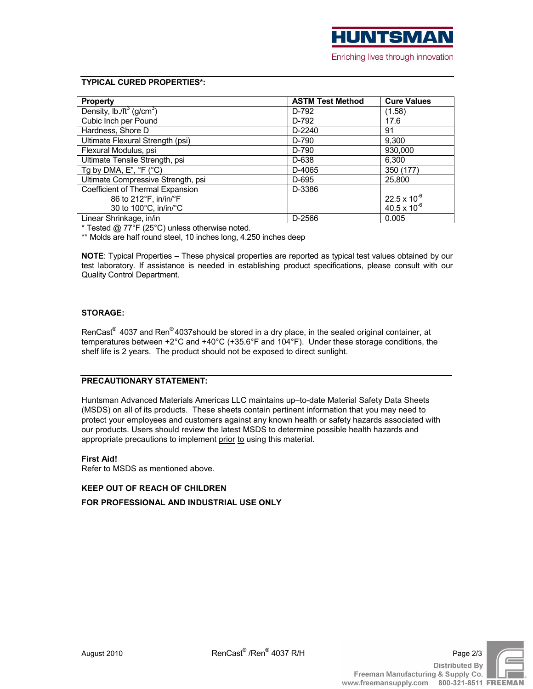# **TYPICAL CURED PROPERTIES\*:**

| <b>Property</b>                                   | <b>ASTM Test Method</b> | <b>Cure Values</b>    |
|---------------------------------------------------|-------------------------|-----------------------|
| Density, lb./ft <sup>3</sup> (g/cm <sup>3</sup> ) | D-792                   | (1.58)                |
| Cubic Inch per Pound                              | D-792                   | 17.6                  |
| Hardness, Shore D                                 | $D-2240$                | 91                    |
| Ultimate Flexural Strength (psi)                  | D-790                   | 9,300                 |
| Flexural Modulus, psi                             | D-790                   | 930,000               |
| Ultimate Tensile Strength, psi                    | D-638                   | 6,300                 |
| Tg by DMA, $E$ ", ${}^{\circ}F$ ( ${}^{\circ}C$ ) | D-4065                  | 350 (177)             |
| Ultimate Compressive Strength, psi                | D-695                   | 25,800                |
| Coefficient of Thermal Expansion                  | D-3386                  |                       |
| 86 to 212°F, in/in/°F                             |                         | $22.5 \times 10^{-6}$ |
| 30 to 100°C, in/in/°C                             |                         | 40.5 x $10^{-6}$      |
| Linear Shrinkage, in/in                           | D-2566                  | 0.005                 |

\* Tested @ 77°F (25°C) unless otherwise noted.

\*\* Molds are half round steel, 10 inches long, 4.250 inches deep

NOTE: Typical Properties - These physical properties are reported as typical test values obtained by our test laboratory. If assistance is needed in establishing product specifications, please consult with our Quality Control Department.

## **STORAGE:**

RenCast<sup>®</sup> 4037 and Ren®4037should be stored in a dry place, in the sealed original container, at temperatures between +2 $^{\circ}$ C and +40 $^{\circ}$ C (+35.6 $^{\circ}$ F and 104 $^{\circ}$ F). Under these storage conditions, the shelf life is 2 years. The product should not be exposed to direct sunlight.

## **PRECAUTIONARY STATEMENT:**

Huntsman Advanced Materials Americas LLC maintains up-to-date Material Safety Data Sheets (MSDS) on all of its products. These sheets contain pertinent information that you may need to protect your employees and customers against any known health or safety hazards associated with our products. Users should review the latest MSDS to determine possible health hazards and appropriate precautions to implement prior to using this material.

#### **First Aid!**

Refer to MSDS as mentioned above.

## **KEEP OUT OF REACH OF CHILDREN**

FOR PROFESSIONAL AND INDUSTRIAL USE ONLY